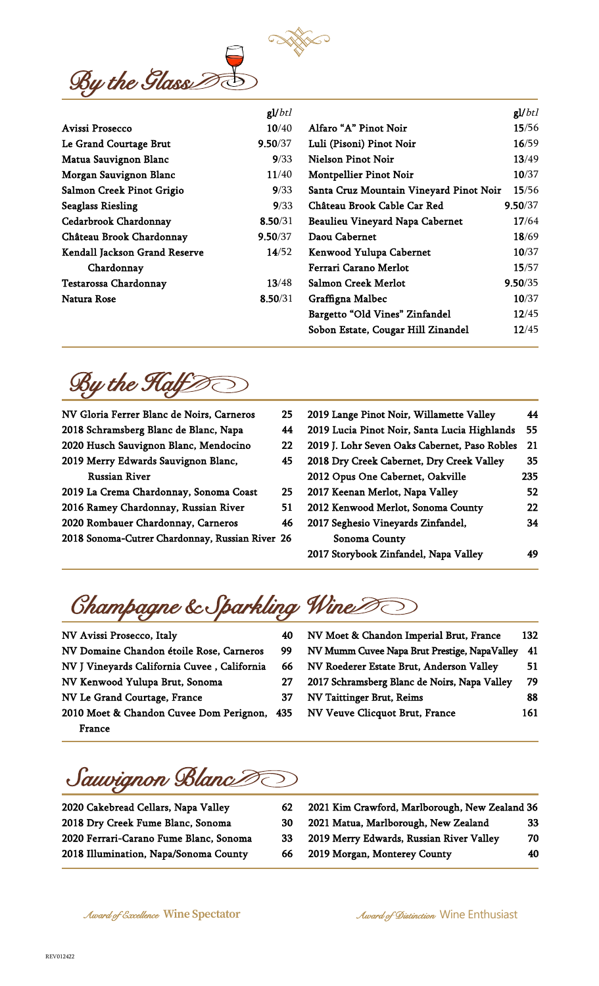

|                               | gl/btl  |                                         | gl/btl  |
|-------------------------------|---------|-----------------------------------------|---------|
| Avissi Prosecco               | 10/40   | Alfaro "A" Pinot Noir                   | 15/56   |
| Le Grand Courtage Brut        | 9.50/37 | Luli (Pisoni) Pinot Noir                | 16/59   |
| Matua Sauvignon Blanc         | 9/33    | Nielson Pinot Noir                      | 13/49   |
| Morgan Sauvignon Blanc        | 11/40   | <b>Montpellier Pinot Noir</b>           | 10/37   |
| Salmon Creek Pinot Grigio     | 9/33    | Santa Cruz Mountain Vineyard Pinot Noir | 15/56   |
| <b>Seaglass Riesling</b>      | 9/33    | Château Brook Cable Car Red             | 9.50/37 |
| Cedarbrook Chardonnay         | 8.50/31 | Beaulieu Vineyard Napa Cabernet         | 17/64   |
| Château Brook Chardonnay      | 9.50/37 | Daou Cabernet                           | 18/69   |
| Kendall Jackson Grand Reserve | 14/52   | Kenwood Yulupa Cabernet                 | 10/37   |
| Chardonnay                    |         | Ferrari Carano Merlot                   | 15/57   |
| Testarossa Chardonnay         | 13/48   | Salmon Creek Merlot                     | 9.50/35 |
| Natura Rose                   | 8.50/31 | Graffigna Malbec                        | 10/37   |
|                               |         | Bargetto "Old Vines" Zinfandel          | 12/45   |
|                               |         | Sobon Estate, Cougar Hill Zinandel      | 12/45   |

By the Half  $\gg$ 

| NV Gloria Ferrer Blanc de Noirs, Carneros       | 25 | 2019 Lange Pinot Noir, Willamette Valley      | 44  |
|-------------------------------------------------|----|-----------------------------------------------|-----|
| 2018 Schramsberg Blanc de Blanc, Napa           | 44 | 2019 Lucia Pinot Noir, Santa Lucia Highlands  | 55  |
| 2020 Husch Sauvignon Blanc, Mendocino           | 22 | 2019 J. Lohr Seven Oaks Cabernet, Paso Robles | 21  |
| 2019 Merry Edwards Sauvignon Blanc,             | 45 | 2018 Dry Creek Cabernet, Dry Creek Valley     | 35  |
| <b>Russian River</b>                            |    | 2012 Opus One Cabernet, Oakville              | 235 |
| 2019 La Crema Chardonnay, Sonoma Coast          | 25 | 2017 Keenan Merlot, Napa Valley               | 52  |
| 2016 Ramey Chardonnay, Russian River            | 51 | 2012 Kenwood Merlot, Sonoma County            | 22  |
| 2020 Rombauer Chardonnay, Carneros              | 46 | 2017 Seghesio Vineyards Zinfandel,            | 34  |
| 2018 Sonoma-Cutrer Chardonnay, Russian River 26 |    | Sonoma County                                 |     |
|                                                 |    | 2017 Storybook Zinfandel, Napa Valley         | 49  |

Champagne & Sparkling Wine

| NV Avissi Prosecco, Italy                   | 40 |
|---------------------------------------------|----|
| NV Domaine Chandon étoile Rose, Carneros    | 99 |
| NV J Vineyards California Cuvee, California | 66 |
| NV Kenwood Yulupa Brut, Sonoma              | 27 |
| NV Le Grand Courtage, France                | 37 |
| 2010 Moet & Chandon Cuvee Dom Perignon, 435 |    |
| France                                      |    |

| NV Moet & Chandon Imperial Brut, France      | 132 |
|----------------------------------------------|-----|
| NV Mumm Cuvee Napa Brut Prestige, NapaValley | 41  |
| NV Roederer Estate Brut, Anderson Valley     | 51  |
| 2017 Schramsberg Blanc de Noirs, Napa Valley | 79  |
| <b>NV Taittinger Brut, Reims</b>             | 88  |
| NV Veuve Clicquot Brut, France               | 161 |

Sauvignon Blanc

| 2020 Cakebread Cellars, Napa Valley    | 62  | 2021 Kim Crawford, Marlborough, New Zealand 36 |    |
|----------------------------------------|-----|------------------------------------------------|----|
| 2018 Dry Creek Fume Blanc, Sonoma      | 30  | 2021 Matua, Marlborough, New Zealand           | 33 |
| 2020 Ferrari-Carano Fume Blanc, Sonoma | 33. | 2019 Merry Edwards, Russian River Valley       | 70 |
| 2018 Illumination, Napa/Sonoma County  | -66 | 2019 Morgan, Monterey County                   | 40 |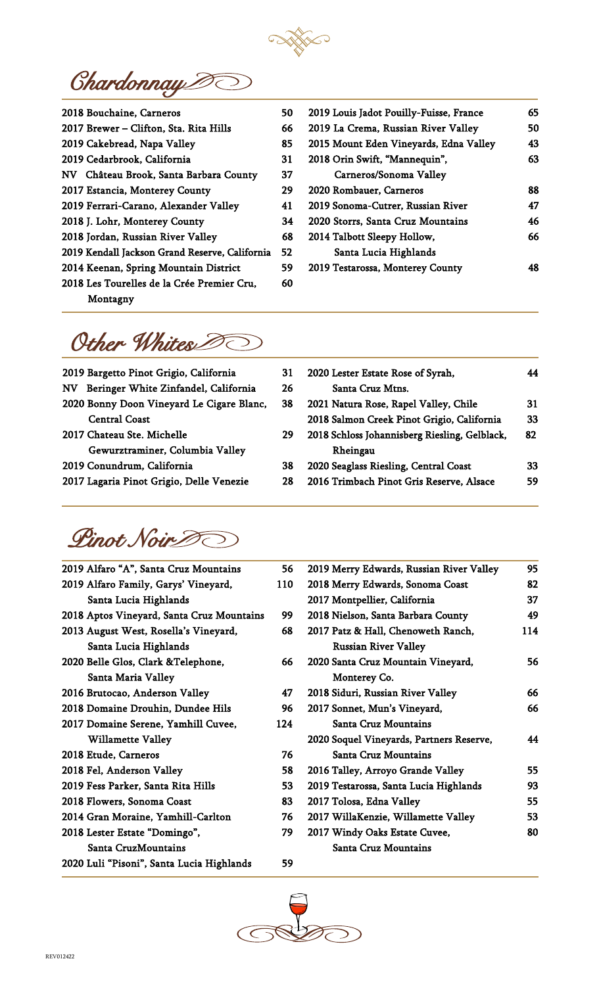

**Chardonnay** 

| 2018 Bouchaine, Carneros                       | 50 |
|------------------------------------------------|----|
| 2017 Brewer - Clifton, Sta. Rita Hills         | 66 |
| 2019 Cakebread, Napa Valley                    | 85 |
| 2019 Cedarbrook, California                    | 31 |
| NV Château Brook, Santa Barbara County         | 37 |
| 2017 Estancia, Monterey County                 | 29 |
| 2019 Ferrari-Carano, Alexander Valley          | 41 |
| 2018 J. Lohr, Monterey County                  | 34 |
| 2018 Jordan, Russian River Valley              | 68 |
| 2019 Kendall Jackson Grand Reserve, California | 52 |
| 2014 Keenan, Spring Mountain District          | 59 |
| 2018 Les Tourelles de la Crée Premier Cru,     | 60 |
| Montagny                                       |    |
|                                                |    |

| 2019 Louis Jadot Pouilly-Fuisse, France | 65 |
|-----------------------------------------|----|
| 2019 La Crema, Russian River Valley     | 50 |
| 2015 Mount Eden Vineyards, Edna Valley  | 43 |
| 2018 Orin Swift, "Mannequin",           | 63 |
| Carneros/Sonoma Valley                  |    |
| 2020 Rombauer, Carneros                 | 88 |
| 2019 Sonoma-Cutrer, Russian River       | 47 |
| 2020 Storrs, Santa Cruz Mountains       | 46 |
| 2014 Talbott Sleepy Hollow,             | 66 |
| Santa Lucia Highlands                   |    |
| 2019 Testarossa, Monterey County        |    |
|                                         |    |

## Other Whites

| 2019 Bargetto Pinot Grigio, California    | 31 |
|-------------------------------------------|----|
| NV Beringer White Zinfandel, California   | 26 |
| 2020 Bonny Doon Vineyard Le Cigare Blanc, | 38 |
| <b>Central Coast</b>                      |    |
| 2017 Chateau Ste. Michelle                | 79 |
| Gewurztraminer, Columbia Valley           |    |
| 2019 Conundrum, California                | 38 |
| 2017 Lagaria Pinot Grigio, Delle Venezie  | 28 |
|                                           |    |

| ١1 | 2020 Lester Estate Rose of Syrah,             |    |
|----|-----------------------------------------------|----|
| :6 | Santa Cruz Mtns.                              |    |
| 88 | 2021 Natura Rose, Rapel Valley, Chile         | 31 |
|    | 2018 Salmon Creek Pinot Grigio, California    | 33 |
| 29 | 2018 Schloss Johannisberg Riesling, Gelblack, | 82 |
|    | Rheingau                                      |    |
| 88 | 2020 Seaglass Riesling, Central Coast         | 33 |
| 28 | 2016 Trimbach Pinot Gris Reserve, Alsace      | 59 |
|    |                                               |    |

Pinot Noir 0

| 2019 Alfaro "A", Santa Cruz Mountains     | 56  | $\overline{2}$ |
|-------------------------------------------|-----|----------------|
| 2019 Alfaro Family, Garys' Vineyard,      | 110 | $\overline{2}$ |
| Santa Lucia Highlands                     |     | $\overline{2}$ |
| 2018 Aptos Vineyard, Santa Cruz Mountains | 99  | $\overline{2}$ |
| 2013 August West, Rosella's Vineyard,     | 68  | $\overline{2}$ |
| Santa Lucia Highlands                     |     |                |
| 2020 Belle Glos, Clark & Telephone,       | 66  | $\overline{2}$ |
| Santa Maria Valley                        |     |                |
| 2016 Brutocao, Anderson Valley            | 47  | $\overline{2}$ |
| 2018 Domaine Drouhin, Dundee Hils         | 96  | $\overline{2}$ |
| 2017 Domaine Serene, Yamhill Cuvee,       | 124 |                |
| <b>Willamette Valley</b>                  |     | $\overline{2}$ |
| 2018 Etude, Carneros                      | 76  |                |
| 2018 Fel, Anderson Valley                 | 58  | $\overline{2}$ |
| 2019 Fess Parker, Santa Rita Hills        |     |                |
|                                           | 53  | $\overline{2}$ |
| 2018 Flowers, Sonoma Coast                | 83  | $\overline{2}$ |
| 2014 Gran Moraine, Yamhill-Carlton        | 76  | $\overline{2}$ |
| 2018 Lester Estate "Domingo",             | 79  | $\overline{2}$ |
| Santa CruzMountains                       |     |                |
| 2020 Luli "Pisoni", Santa Lucia Highlands | 59  |                |

| 2019 Merry Edwards, Russian River Valley | 95  |
|------------------------------------------|-----|
| 2018 Merry Edwards, Sonoma Coast         | 82  |
| 2017 Montpellier, California             | 37  |
| 2018 Nielson, Santa Barbara County       | 49  |
| 2017 Patz & Hall, Chenoweth Ranch,       | 114 |
| <b>Russian River Valley</b>              |     |
| 2020 Santa Cruz Mountain Vineyard,       | 56  |
| Monterey Co.                             |     |
| 2018 Siduri, Russian River Valley        | 66  |
| 2017 Sonnet, Mun's Vineyard,             | 66  |
| Santa Cruz Mountains                     |     |
| 2020 Soquel Vineyards, Partners Reserve, | 44  |
| Santa Cruz Mountains                     |     |
| 2016 Talley, Arroyo Grande Valley        | 55  |
| 2019 Testarossa, Santa Lucia Highlands   | 93  |
| 2017 Tolosa, Edna Valley                 | 55  |
| 2017 WillaKenzie, Willamette Valley      | 53  |
| 2017 Windy Oaks Estate Cuvee,            | 80  |
| Santa Cruz Mountains                     |     |
|                                          |     |



j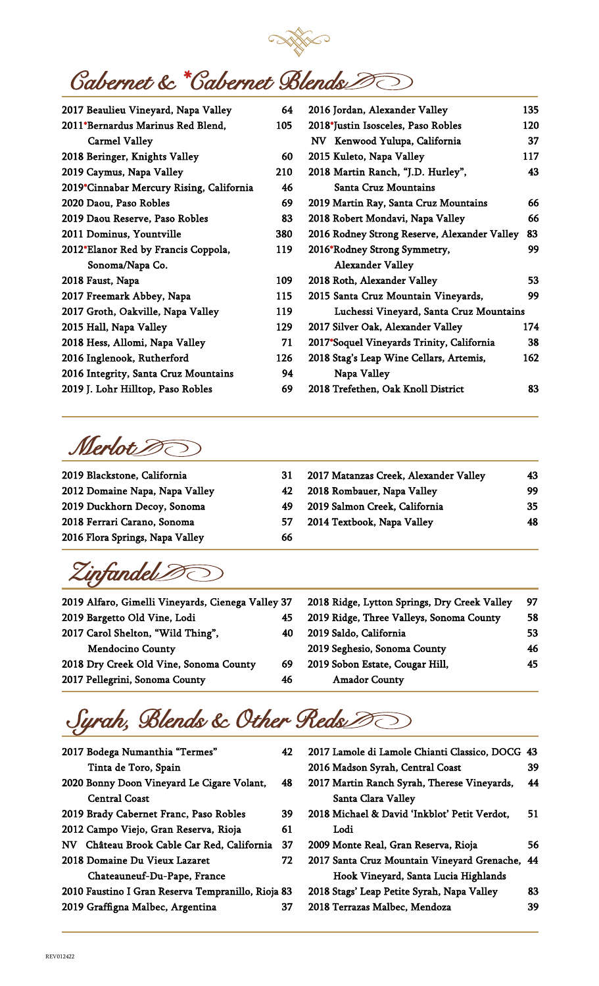

## **Cabernet & \*Cabernet Blends**

| 2017 Beaulieu Vineyard, Napa Valley      | 64  | 2016 Jordan, Alexander Valley                | 135 |
|------------------------------------------|-----|----------------------------------------------|-----|
| 2011*Bernardus Marinus Red Blend,        | 105 | 2018*Justin Isosceles, Paso Robles           | 120 |
| <b>Carmel Valley</b>                     |     | NV Kenwood Yulupa, California                | 37  |
| 2018 Beringer, Knights Valley            | 60  | 2015 Kuleto, Napa Valley                     | 117 |
| 2019 Caymus, Napa Valley                 | 210 | 2018 Martin Ranch, "J.D. Hurley",            | 43  |
| 2019*Cinnabar Mercury Rising, California | 46  | <b>Santa Cruz Mountains</b>                  |     |
| 2020 Daou, Paso Robles                   | 69  | 2019 Martin Ray, Santa Cruz Mountains        | 66  |
| 2019 Daou Reserve, Paso Robles           | 83  | 2018 Robert Mondavi, Napa Valley             | 66  |
| 2011 Dominus, Yountville                 | 380 | 2016 Rodney Strong Reserve, Alexander Valley | 83  |
| 2012*Elanor Red by Francis Coppola,      | 119 | 2016*Rodney Strong Symmetry,                 | 99  |
| Sonoma/Napa Co.                          |     | <b>Alexander Valley</b>                      |     |
| 2018 Faust, Napa                         | 109 | 2018 Roth, Alexander Valley                  | 53  |
| 2017 Freemark Abbey, Napa                | 115 | 2015 Santa Cruz Mountain Vineyards,          | 99  |
| 2017 Groth, Oakville, Napa Valley        | 119 | Luchessi Vineyard, Santa Cruz Mountains      |     |
| 2015 Hall, Napa Valley                   | 129 | 2017 Silver Oak, Alexander Valley            | 174 |
| 2018 Hess, Allomi, Napa Valley           | 71  | 2017*Soquel Vineyards Trinity, California    | 38  |
| 2016 Inglenook, Rutherford               | 126 | 2018 Stag's Leap Wine Cellars, Artemis,      | 162 |
| 2016 Integrity, Santa Cruz Mountains     | 94  | Napa Valley                                  |     |
| 2019 J. Lohr Hilltop, Paso Robles        | 69  | 2018 Trefethen, Oak Knoll District           | 83  |
|                                          |     |                                              |     |

Merlot<sub>20</sub>

| 2019 Blackstone, California     | 31  | 2017 Matanzas Creek, Alexander Valley | 43 |
|---------------------------------|-----|---------------------------------------|----|
| 2012 Domaine Napa, Napa Valley  | 42  | 2018 Rombauer, Napa Valley            | 99 |
| 2019 Duckhorn Decoy, Sonoma     | -49 | 2019 Salmon Creek, California         | 35 |
| 2018 Ferrari Carano, Sonoma     | 57  | 2014 Textbook, Napa Valley            | 48 |
| 2016 Flora Springs, Napa Valley | 66  |                                       |    |

Zinfandel<sub>2</sub>

| 2019 Alfaro, Gimelli Vineyards, Cienega Valley 37 |    | 2018 Ridge, Lytton Springs, Dry Creek Valley | 97  |
|---------------------------------------------------|----|----------------------------------------------|-----|
| 2019 Bargetto Old Vine, Lodi                      | 45 | 2019 Ridge, Three Valleys, Sonoma County     | 58  |
| 2017 Carol Shelton, "Wild Thing",                 | 40 | 2019 Saldo, California                       | 53. |
| <b>Mendocino County</b>                           |    | 2019 Seghesio, Sonoma County                 | 46  |
| 2018 Dry Creek Old Vine, Sonoma County            | 69 | 2019 Sobon Estate, Cougar Hill,              | 45  |
| 2017 Pellegrini, Sonoma County                    | 46 | <b>Amador County</b>                         |     |
|                                                   |    |                                              |     |

## Syrah, Blends & Other Reds

| 2017 Bodega Numanthia "Termes"                     | 42 | 2017 La  |     |
|----------------------------------------------------|----|----------|-----|
| Tinta de Toro, Spain                               |    | 2016 Ma  |     |
| 2020 Bonny Doon Vineyard Le Cigare Volant,         | 48 | 2017 Ma  |     |
| <b>Central Coast</b>                               |    |          | Sai |
| 2019 Brady Cabernet Franc, Paso Robles             | 39 | 2018 Mi  |     |
| 2012 Campo Viejo, Gran Reserva, Rioja              | 61 |          | Lo  |
| NV Château Brook Cable Car Red, California         | 37 | 2009 Mo  |     |
| 2018 Domaine Du Vieux Lazaret                      | 72 | 2017 Sar |     |
| Chateauneuf-Du-Pape, France                        |    |          | Hc  |
| 2010 Faustino I Gran Reserva Tempranillo, Rioja 83 |    | 2018 Sta |     |
| 2019 Graffigna Malbec, Argentina                   | 37 | 2018 Te  |     |
|                                                    |    |          |     |

| 2017 Lamole di Lamole Chianti Classico, DOCG | 43 |
|----------------------------------------------|----|
| 2016 Madson Syrah, Central Coast             | 39 |
| 2017 Martin Ranch Syrah, Therese Vineyards,  | 44 |
| Santa Clara Valley                           |    |
| 2018 Michael & David 'Inkblot' Petit Verdot, | 51 |
| Lodi                                         |    |
| 2009 Monte Real, Gran Reserva, Rioja         | 56 |
| 2017 Santa Cruz Mountain Vineyard Grenache,  | 44 |
| Hook Vineyard, Santa Lucia Highlands         |    |
| 2018 Stags' Leap Petite Syrah, Napa Valley   | 83 |
| 2018 Terrazas Malbec, Mendoza                | 39 |
|                                              |    |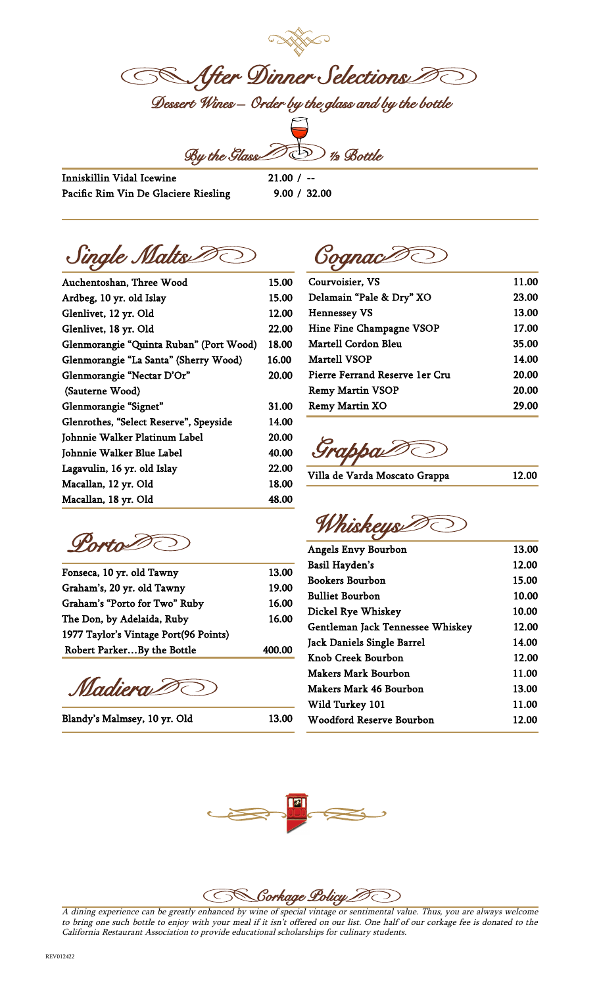**SS After Dinner Selections** Dessert Wines – Order by the glass and by the bottle

 $\widehat{\text{supp}}$ 



Inniskillin Vidal Icewine Pacific Rim Vin De Glaciere Riesling  $21.00 / -$ 9.00 / 32.00

Single Malts D GognacD

| Auchentoshan, Three Wood                | 15.00 |
|-----------------------------------------|-------|
| Ardbeg, 10 yr. old Islay                | 15.00 |
| Glenlivet, 12 yr. Old                   | 12.00 |
| Glenlivet, 18 yr. Old                   | 22.00 |
| Glenmorangie "Quinta Ruban" (Port Wood) | 18.00 |
| Glenmorangie "La Santa" (Sherry Wood)   | 16.00 |
| Glenmorangie "Nectar D'Or"              | 20.00 |
| (Sauterne Wood)                         |       |
| Glenmorangie "Signet"                   | 31.00 |
| Glenrothes, "Select Reserve", Speyside  | 14.00 |
| Johnnie Walker Platinum Label           | 20.00 |
| Johnnie Walker Blue Label               | 40.00 |
| Lagavulin, 16 yr. old Islay             | 22.00 |
| Macallan, 12 yr. Old                    | 18.00 |
| Macallan, 18 yr. Old                    | 48.00 |

Porto D

| Fonseca, 10 yr. old Tawny             | 13.00  |
|---------------------------------------|--------|
| Graham's, 20 yr. old Tawny            | 19.00  |
| Graham's "Porto for Two" Ruby         | 16.00  |
| The Don, by Adelaida, Ruby            | 16.00  |
| 1977 Taylor's Vintage Port(96 Points) |        |
| Robert ParkerBy the Bottle            | 400.00 |
|                                       |        |

Madiera D

Blandy's Malmsey, 10 yr. Old 13.00

| Courvoisier, VS                | 11.00 |
|--------------------------------|-------|
| Delamain "Pale & Dry" XO       | 23.00 |
| <b>Hennessey VS</b>            | 13.00 |
| Hine Fine Champagne VSOP       | 17.00 |
| Martell Cordon Bleu            | 35.00 |
| Martell VSOP                   | 14.00 |
| Pierre Ferrand Reserve 1er Cru | 20.00 |
| <b>Remy Martin VSOP</b>        | 20.00 |
| <b>Remy Martin XO</b>          | 29.00 |
|                                |       |

Grappa

| Villa de Varda Moscato Grappa | 12.00 |
|-------------------------------|-------|

Whiskeys

| 13.00 |
|-------|
| 12.00 |
| 15.00 |
| 10.00 |
| 10.00 |
| 12.00 |
| 14.00 |
| 12.00 |
| 11.00 |
| 13.00 |
| 11.00 |
| 12.00 |
|       |





A dining experience can be greatly enhanced by wine of special vintage or sentimental value. Thus, you are always welcome to bring one such bottle to enjoy with your meal if it isn't offered on our list. One half of our corkage fee is donated to the California Restaurant Association to provide educational scholarships for culinary students.